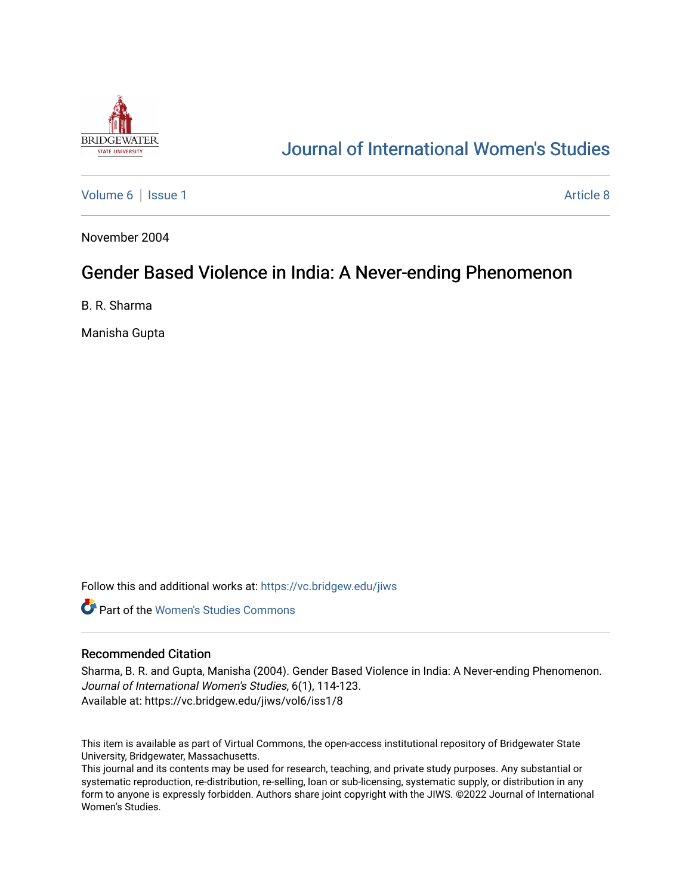

# [Journal of International Women's Studies](https://vc.bridgew.edu/jiws)

[Volume 6](https://vc.bridgew.edu/jiws/vol6) | [Issue 1](https://vc.bridgew.edu/jiws/vol6/iss1) Article 8

November 2004

## Gender Based Violence in India: A Never-ending Phenomenon

B. R. Sharma

Manisha Gupta

Follow this and additional works at: [https://vc.bridgew.edu/jiws](https://vc.bridgew.edu/jiws?utm_source=vc.bridgew.edu%2Fjiws%2Fvol6%2Fiss1%2F8&utm_medium=PDF&utm_campaign=PDFCoverPages)

**C** Part of the Women's Studies Commons

### Recommended Citation

Sharma, B. R. and Gupta, Manisha (2004). Gender Based Violence in India: A Never-ending Phenomenon. Journal of International Women's Studies, 6(1), 114-123. Available at: https://vc.bridgew.edu/jiws/vol6/iss1/8

This item is available as part of Virtual Commons, the open-access institutional repository of Bridgewater State University, Bridgewater, Massachusetts.

This journal and its contents may be used for research, teaching, and private study purposes. Any substantial or systematic reproduction, re-distribution, re-selling, loan or sub-licensing, systematic supply, or distribution in any form to anyone is expressly forbidden. Authors share joint copyright with the JIWS. ©2022 Journal of International Women's Studies.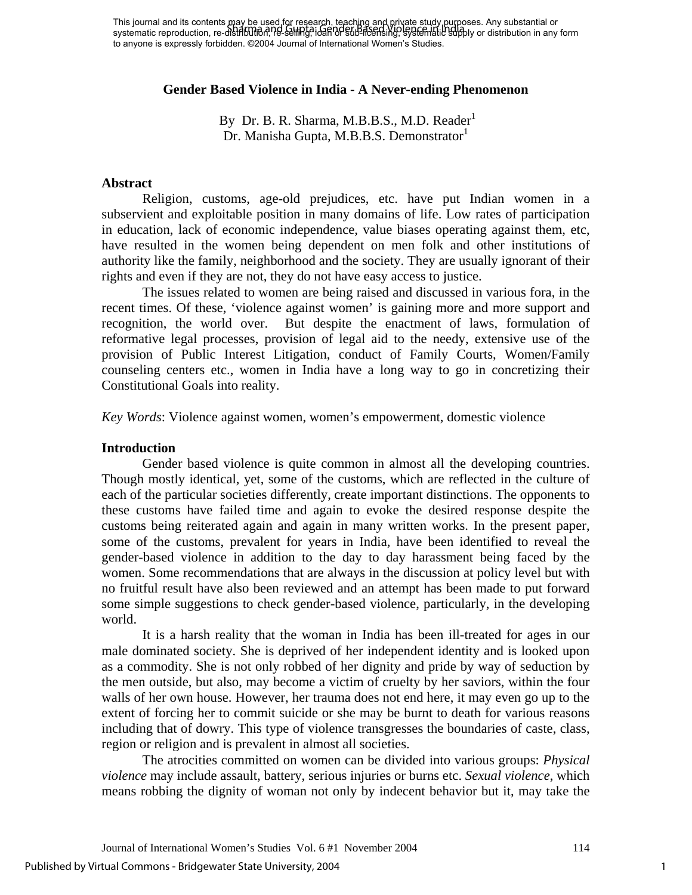This journal and its contents may be used for research, teaching and private study purposes. Any substantial or systematic reproduction, re-distflbution, re-selling, idah or sub-licensing, systematic supply or distribution in any form to anyone is expressly forbidden. ©2004 Journal of International Women's Studies. Sharma and Gupta: Gender Based Violence in India

## **Gender Based Violence in India - A Never-ending Phenomenon**

By Dr. B. R. Sharma, M.B.B.S., M.D. Reader $<sup>1</sup>$ </sup> Dr. Manisha Gupta, M.B.B.S. Demonstrator<sup>1</sup>

## **Abstract**

Religion, customs, age-old prejudices, etc. have put Indian women in a subservient and exploitable position in many domains of life. Low rates of participation in education, lack of economic independence, value biases operating against them, etc, have resulted in the women being dependent on men folk and other institutions of authority like the family, neighborhood and the society. They are usually ignorant of their rights and even if they are not, they do not have easy access to justice.

The issues related to women are being raised and discussed in various fora, in the recent times. Of these, 'violence against women' is gaining more and more support and recognition, the world over. But despite the enactment of laws, formulation of reformative legal processes, provision of legal aid to the needy, extensive use of the provision of Public Interest Litigation, conduct of Family Courts, Women/Family counseling centers etc., women in India have a long way to go in concretizing their Constitutional Goals into reality.

*Key Words*: Violence against women, women's empowerment, domestic violence

### **Introduction**

Gender based violence is quite common in almost all the developing countries. Though mostly identical, yet, some of the customs, which are reflected in the culture of each of the particular societies differently, create important distinctions. The opponents to these customs have failed time and again to evoke the desired response despite the customs being reiterated again and again in many written works. In the present paper, some of the customs, prevalent for years in India, have been identified to reveal the gender-based violence in addition to the day to day harassment being faced by the women. Some recommendations that are always in the discussion at policy level but with no fruitful result have also been reviewed and an attempt has been made to put forward some simple suggestions to check gender-based violence, particularly, in the developing world.

It is a harsh reality that the woman in India has been ill-treated for ages in our male dominated society. She is deprived of her independent identity and is looked upon as a commodity. She is not only robbed of her dignity and pride by way of seduction by the men outside, but also, may become a victim of cruelty by her saviors, within the four walls of her own house. However, her trauma does not end here, it may even go up to the extent of forcing her to commit suicide or she may be burnt to death for various reasons including that of dowry. This type of violence transgresses the boundaries of caste, class, region or religion and is prevalent in almost all societies.

The atrocities committed on women can be divided into various groups: *Physical violence* may include assault, battery, serious injuries or burns etc. *Sexual violence*, which means robbing the dignity of woman not only by indecent behavior but it, may take the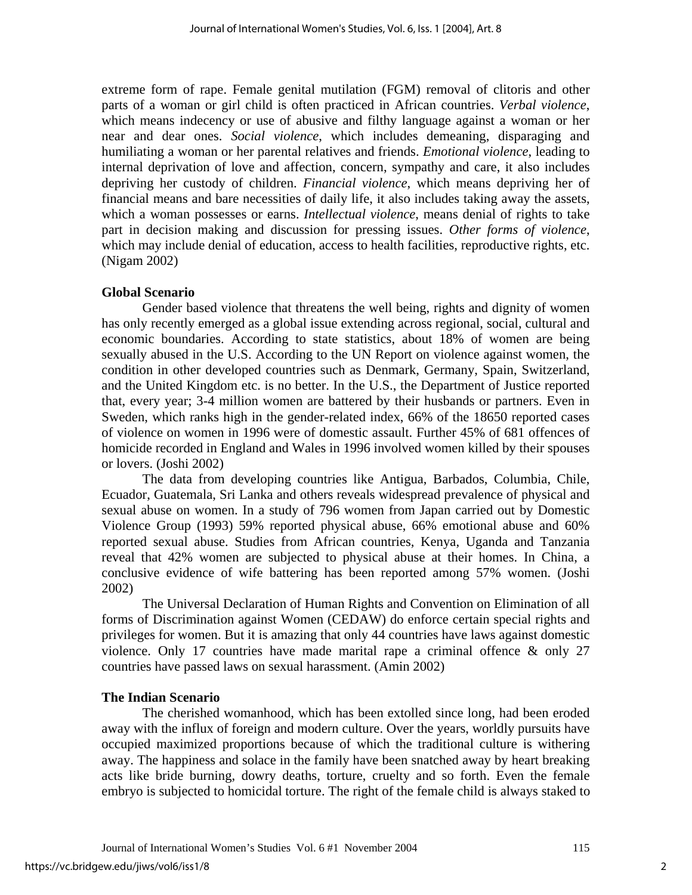extreme form of rape. Female genital mutilation (FGM) removal of clitoris and other parts of a woman or girl child is often practiced in African countries. *Verbal violence*, which means indecency or use of abusive and filthy language against a woman or her near and dear ones. *Social violence*, which includes demeaning, disparaging and humiliating a woman or her parental relatives and friends. *Emotional violence*, leading to internal deprivation of love and affection, concern, sympathy and care, it also includes depriving her custody of children. *Financial violence*, which means depriving her of financial means and bare necessities of daily life, it also includes taking away the assets, which a woman possesses or earns. *Intellectual violence*, means denial of rights to take part in decision making and discussion for pressing issues. *Other forms of violence*, which may include denial of education, access to health facilities, reproductive rights, etc. (Nigam 2002)

## **Global Scenario**

 Gender based violence that threatens the well being, rights and dignity of women has only recently emerged as a global issue extending across regional, social, cultural and economic boundaries. According to state statistics, about 18% of women are being sexually abused in the U.S. According to the UN Report on violence against women, the condition in other developed countries such as Denmark, Germany, Spain, Switzerland, and the United Kingdom etc. is no better. In the U.S., the Department of Justice reported that, every year; 3-4 million women are battered by their husbands or partners. Even in Sweden, which ranks high in the gender-related index, 66% of the 18650 reported cases of violence on women in 1996 were of domestic assault. Further 45% of 681 offences of homicide recorded in England and Wales in 1996 involved women killed by their spouses or lovers. (Joshi 2002)

 The data from developing countries like Antigua, Barbados, Columbia, Chile, Ecuador, Guatemala, Sri Lanka and others reveals widespread prevalence of physical and sexual abuse on women. In a study of 796 women from Japan carried out by Domestic Violence Group (1993) 59% reported physical abuse, 66% emotional abuse and 60% reported sexual abuse. Studies from African countries, Kenya, Uganda and Tanzania reveal that 42% women are subjected to physical abuse at their homes. In China, a conclusive evidence of wife battering has been reported among 57% women. (Joshi 2002)

 The Universal Declaration of Human Rights and Convention on Elimination of all forms of Discrimination against Women (CEDAW) do enforce certain special rights and privileges for women. But it is amazing that only 44 countries have laws against domestic violence. Only 17 countries have made marital rape a criminal offence & only 27 countries have passed laws on sexual harassment. (Amin 2002)

## **The Indian Scenario**

The cherished womanhood, which has been extolled since long, had been eroded away with the influx of foreign and modern culture. Over the years, worldly pursuits have occupied maximized proportions because of which the traditional culture is withering away. The happiness and solace in the family have been snatched away by heart breaking acts like bride burning, dowry deaths, torture, cruelty and so forth. Even the female embryo is subjected to homicidal torture. The right of the female child is always staked to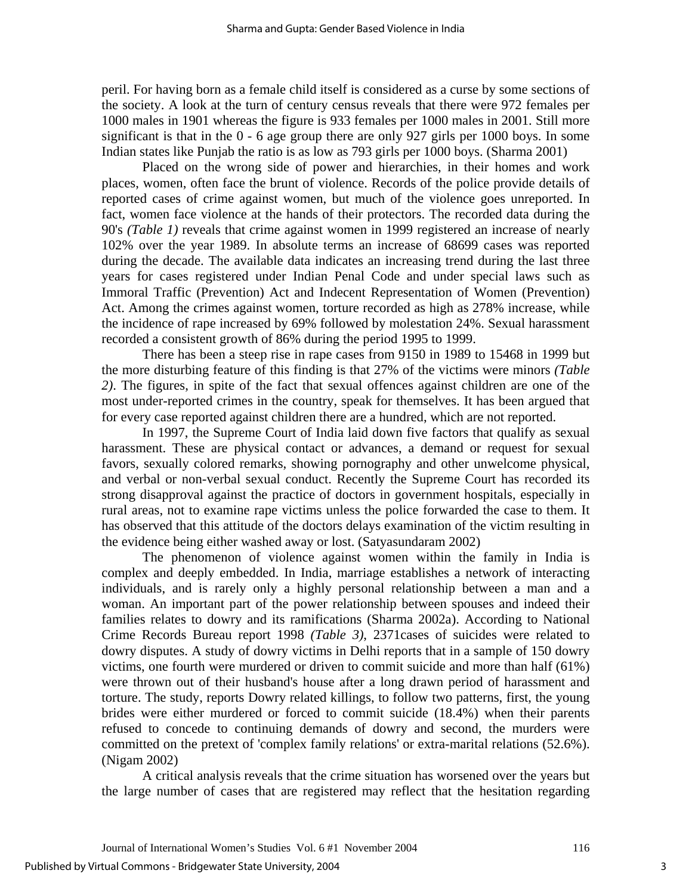peril. For having born as a female child itself is considered as a curse by some sections of the society. A look at the turn of century census reveals that there were 972 females per 1000 males in 1901 whereas the figure is 933 females per 1000 males in 2001. Still more significant is that in the 0 - 6 age group there are only 927 girls per 1000 boys. In some Indian states like Punjab the ratio is as low as 793 girls per 1000 boys. (Sharma 2001)

Placed on the wrong side of power and hierarchies, in their homes and work places, women, often face the brunt of violence. Records of the police provide details of reported cases of crime against women, but much of the violence goes unreported. In fact, women face violence at the hands of their protectors. The recorded data during the 90's *(Table 1)* reveals that crime against women in 1999 registered an increase of nearly 102% over the year 1989. In absolute terms an increase of 68699 cases was reported during the decade. The available data indicates an increasing trend during the last three years for cases registered under Indian Penal Code and under special laws such as Immoral Traffic (Prevention) Act and Indecent Representation of Women (Prevention) Act. Among the crimes against women, torture recorded as high as 278% increase, while the incidence of rape increased by 69% followed by molestation 24%. Sexual harassment recorded a consistent growth of 86% during the period 1995 to 1999.

There has been a steep rise in rape cases from 9150 in 1989 to 15468 in 1999 but the more disturbing feature of this finding is that 27% of the victims were minors *(Table 2)*. The figures, in spite of the fact that sexual offences against children are one of the most under-reported crimes in the country, speak for themselves. It has been argued that for every case reported against children there are a hundred, which are not reported.

In 1997, the Supreme Court of India laid down five factors that qualify as sexual harassment. These are physical contact or advances, a demand or request for sexual favors, sexually colored remarks, showing pornography and other unwelcome physical, and verbal or non-verbal sexual conduct. Recently the Supreme Court has recorded its strong disapproval against the practice of doctors in government hospitals, especially in rural areas, not to examine rape victims unless the police forwarded the case to them. It has observed that this attitude of the doctors delays examination of the victim resulting in the evidence being either washed away or lost. (Satyasundaram 2002)

The phenomenon of violence against women within the family in India is complex and deeply embedded. In India, marriage establishes a network of interacting individuals, and is rarely only a highly personal relationship between a man and a woman. An important part of the power relationship between spouses and indeed their families relates to dowry and its ramifications (Sharma 2002a). According to National Crime Records Bureau report 1998 *(Table 3)*, 2371cases of suicides were related to dowry disputes. A study of dowry victims in Delhi reports that in a sample of 150 dowry victims, one fourth were murdered or driven to commit suicide and more than half (61%) were thrown out of their husband's house after a long drawn period of harassment and torture. The study, reports Dowry related killings, to follow two patterns, first, the young brides were either murdered or forced to commit suicide (18.4%) when their parents refused to concede to continuing demands of dowry and second, the murders were committed on the pretext of 'complex family relations' or extra-marital relations (52.6%). (Nigam 2002)

A critical analysis reveals that the crime situation has worsened over the years but the large number of cases that are registered may reflect that the hesitation regarding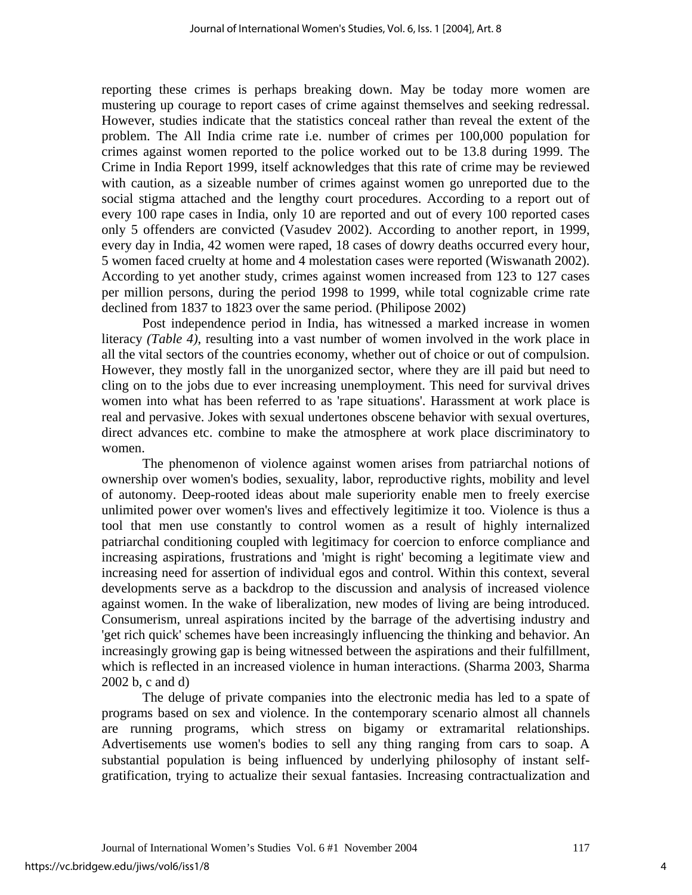reporting these crimes is perhaps breaking down. May be today more women are mustering up courage to report cases of crime against themselves and seeking redressal. However, studies indicate that the statistics conceal rather than reveal the extent of the problem. The All India crime rate i.e. number of crimes per 100,000 population for crimes against women reported to the police worked out to be 13.8 during 1999. The Crime in India Report 1999, itself acknowledges that this rate of crime may be reviewed with caution, as a sizeable number of crimes against women go unreported due to the social stigma attached and the lengthy court procedures. According to a report out of every 100 rape cases in India, only 10 are reported and out of every 100 reported cases only 5 offenders are convicted (Vasudev 2002). According to another report, in 1999, every day in India, 42 women were raped, 18 cases of dowry deaths occurred every hour, 5 women faced cruelty at home and 4 molestation cases were reported (Wiswanath 2002). According to yet another study, crimes against women increased from 123 to 127 cases per million persons, during the period 1998 to 1999, while total cognizable crime rate declined from 1837 to 1823 over the same period. (Philipose 2002)

Post independence period in India, has witnessed a marked increase in women literacy *(Table 4)*, resulting into a vast number of women involved in the work place in all the vital sectors of the countries economy, whether out of choice or out of compulsion. However, they mostly fall in the unorganized sector, where they are ill paid but need to cling on to the jobs due to ever increasing unemployment. This need for survival drives women into what has been referred to as 'rape situations'. Harassment at work place is real and pervasive. Jokes with sexual undertones obscene behavior with sexual overtures, direct advances etc. combine to make the atmosphere at work place discriminatory to women.

 The phenomenon of violence against women arises from patriarchal notions of ownership over women's bodies, sexuality, labor, reproductive rights, mobility and level of autonomy. Deep-rooted ideas about male superiority enable men to freely exercise unlimited power over women's lives and effectively legitimize it too. Violence is thus a tool that men use constantly to control women as a result of highly internalized patriarchal conditioning coupled with legitimacy for coercion to enforce compliance and increasing aspirations, frustrations and 'might is right' becoming a legitimate view and increasing need for assertion of individual egos and control. Within this context, several developments serve as a backdrop to the discussion and analysis of increased violence against women. In the wake of liberalization, new modes of living are being introduced. Consumerism, unreal aspirations incited by the barrage of the advertising industry and 'get rich quick' schemes have been increasingly influencing the thinking and behavior. An increasingly growing gap is being witnessed between the aspirations and their fulfillment, which is reflected in an increased violence in human interactions. (Sharma 2003, Sharma 2002 b, c and d)

 The deluge of private companies into the electronic media has led to a spate of programs based on sex and violence. In the contemporary scenario almost all channels are running programs, which stress on bigamy or extramarital relationships. Advertisements use women's bodies to sell any thing ranging from cars to soap. A substantial population is being influenced by underlying philosophy of instant selfgratification, trying to actualize their sexual fantasies. Increasing contractualization and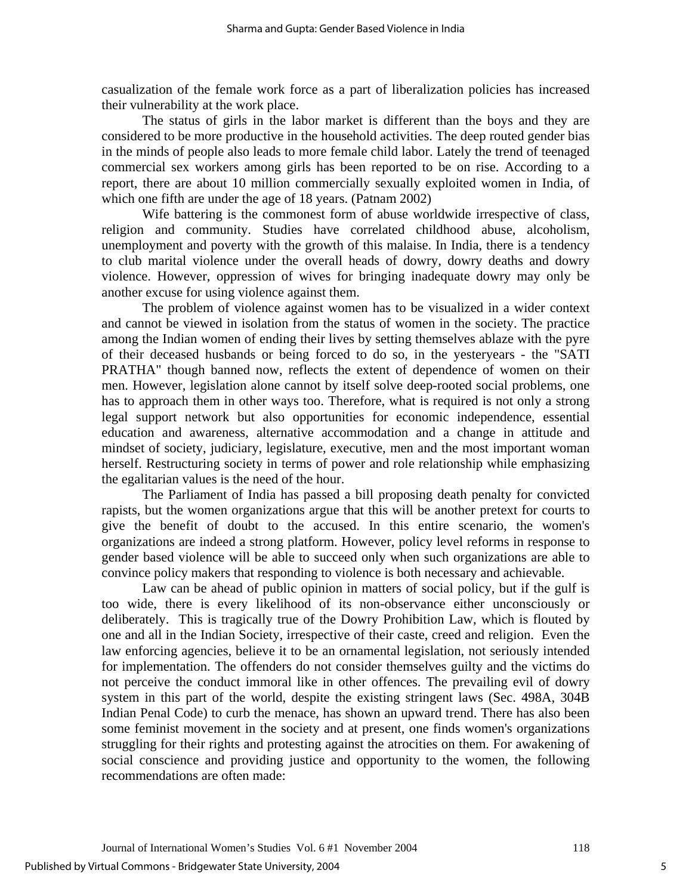casualization of the female work force as a part of liberalization policies has increased their vulnerability at the work place.

 The status of girls in the labor market is different than the boys and they are considered to be more productive in the household activities. The deep routed gender bias in the minds of people also leads to more female child labor. Lately the trend of teenaged commercial sex workers among girls has been reported to be on rise. According to a report, there are about 10 million commercially sexually exploited women in India, of which one fifth are under the age of 18 years. (Patnam 2002)

Wife battering is the commonest form of abuse worldwide irrespective of class, religion and community. Studies have correlated childhood abuse, alcoholism, unemployment and poverty with the growth of this malaise. In India, there is a tendency to club marital violence under the overall heads of dowry, dowry deaths and dowry violence. However, oppression of wives for bringing inadequate dowry may only be another excuse for using violence against them.

 The problem of violence against women has to be visualized in a wider context and cannot be viewed in isolation from the status of women in the society. The practice among the Indian women of ending their lives by setting themselves ablaze with the pyre of their deceased husbands or being forced to do so, in the yesteryears - the "SATI PRATHA" though banned now, reflects the extent of dependence of women on their men. However, legislation alone cannot by itself solve deep-rooted social problems, one has to approach them in other ways too. Therefore, what is required is not only a strong legal support network but also opportunities for economic independence, essential education and awareness, alternative accommodation and a change in attitude and mindset of society, judiciary, legislature, executive, men and the most important woman herself. Restructuring society in terms of power and role relationship while emphasizing the egalitarian values is the need of the hour.

The Parliament of India has passed a bill proposing death penalty for convicted rapists, but the women organizations argue that this will be another pretext for courts to give the benefit of doubt to the accused. In this entire scenario, the women's organizations are indeed a strong platform. However, policy level reforms in response to gender based violence will be able to succeed only when such organizations are able to convince policy makers that responding to violence is both necessary and achievable.

Law can be ahead of public opinion in matters of social policy, but if the gulf is too wide, there is every likelihood of its non-observance either unconsciously or deliberately. This is tragically true of the Dowry Prohibition Law, which is flouted by one and all in the Indian Society, irrespective of their caste, creed and religion. Even the law enforcing agencies, believe it to be an ornamental legislation, not seriously intended for implementation. The offenders do not consider themselves guilty and the victims do not perceive the conduct immoral like in other offences. The prevailing evil of dowry system in this part of the world, despite the existing stringent laws (Sec. 498A, 304B Indian Penal Code) to curb the menace, has shown an upward trend. There has also been some feminist movement in the society and at present, one finds women's organizations struggling for their rights and protesting against the atrocities on them. For awakening of social conscience and providing justice and opportunity to the women, the following recommendations are often made: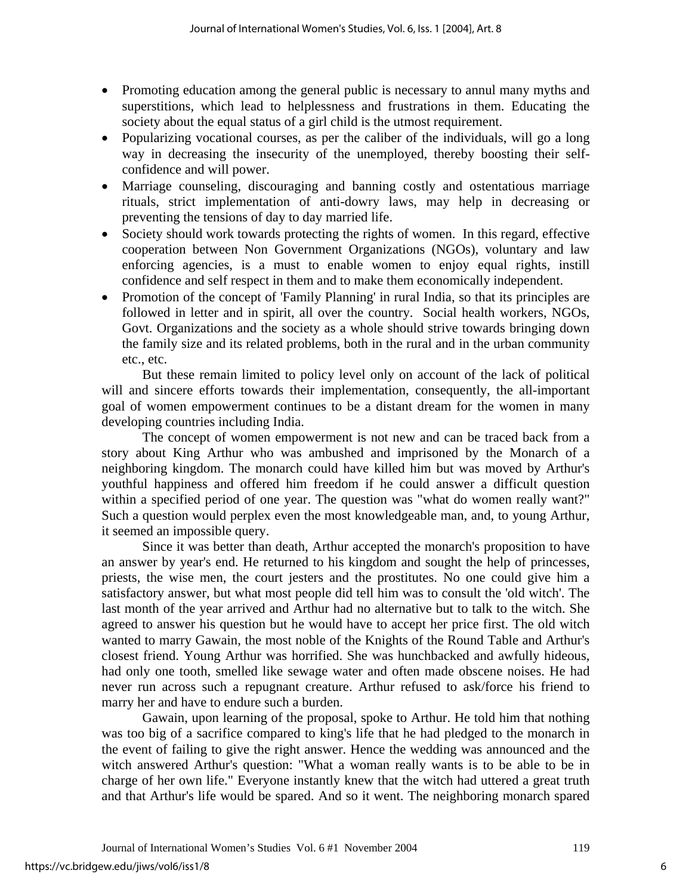- Promoting education among the general public is necessary to annul many myths and superstitions, which lead to helplessness and frustrations in them. Educating the society about the equal status of a girl child is the utmost requirement.
- Popularizing vocational courses, as per the caliber of the individuals, will go a long way in decreasing the insecurity of the unemployed, thereby boosting their selfconfidence and will power.
- Marriage counseling, discouraging and banning costly and ostentatious marriage rituals, strict implementation of anti-dowry laws, may help in decreasing or preventing the tensions of day to day married life.
- Society should work towards protecting the rights of women. In this regard, effective cooperation between Non Government Organizations (NGOs), voluntary and law enforcing agencies, is a must to enable women to enjoy equal rights, instill confidence and self respect in them and to make them economically independent.
- Promotion of the concept of 'Family Planning' in rural India, so that its principles are followed in letter and in spirit, all over the country. Social health workers, NGOs, Govt. Organizations and the society as a whole should strive towards bringing down the family size and its related problems, both in the rural and in the urban community etc., etc.

But these remain limited to policy level only on account of the lack of political will and sincere efforts towards their implementation, consequently, the all-important goal of women empowerment continues to be a distant dream for the women in many developing countries including India.

The concept of women empowerment is not new and can be traced back from a story about King Arthur who was ambushed and imprisoned by the Monarch of a neighboring kingdom. The monarch could have killed him but was moved by Arthur's youthful happiness and offered him freedom if he could answer a difficult question within a specified period of one year. The question was "what do women really want?" Such a question would perplex even the most knowledgeable man, and, to young Arthur, it seemed an impossible query.

Since it was better than death, Arthur accepted the monarch's proposition to have an answer by year's end. He returned to his kingdom and sought the help of princesses, priests, the wise men, the court jesters and the prostitutes. No one could give him a satisfactory answer, but what most people did tell him was to consult the 'old witch'. The last month of the year arrived and Arthur had no alternative but to talk to the witch. She agreed to answer his question but he would have to accept her price first. The old witch wanted to marry Gawain, the most noble of the Knights of the Round Table and Arthur's closest friend. Young Arthur was horrified. She was hunchbacked and awfully hideous, had only one tooth, smelled like sewage water and often made obscene noises. He had never run across such a repugnant creature. Arthur refused to ask/force his friend to marry her and have to endure such a burden.

Gawain, upon learning of the proposal, spoke to Arthur. He told him that nothing was too big of a sacrifice compared to king's life that he had pledged to the monarch in the event of failing to give the right answer. Hence the wedding was announced and the witch answered Arthur's question: "What a woman really wants is to be able to be in charge of her own life." Everyone instantly knew that the witch had uttered a great truth and that Arthur's life would be spared. And so it went. The neighboring monarch spared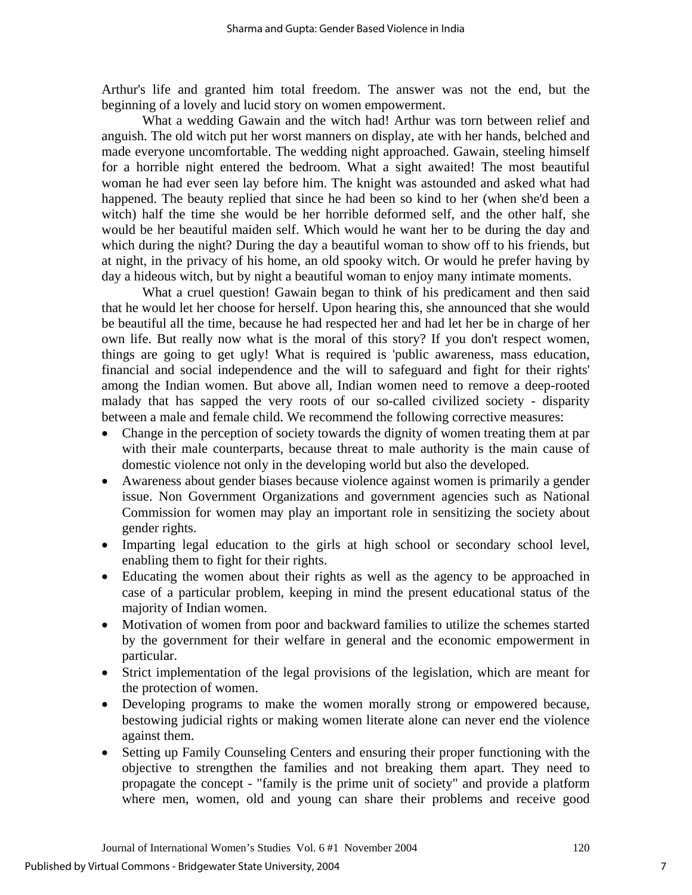Arthur's life and granted him total freedom. The answer was not the end, but the beginning of a lovely and lucid story on women empowerment.

What a wedding Gawain and the witch had! Arthur was torn between relief and anguish. The old witch put her worst manners on display, ate with her hands, belched and made everyone uncomfortable. The wedding night approached. Gawain, steeling himself for a horrible night entered the bedroom. What a sight awaited! The most beautiful woman he had ever seen lay before him. The knight was astounded and asked what had happened. The beauty replied that since he had been so kind to her (when she'd been a witch) half the time she would be her horrible deformed self, and the other half, she would be her beautiful maiden self. Which would he want her to be during the day and which during the night? During the day a beautiful woman to show off to his friends, but at night, in the privacy of his home, an old spooky witch. Or would he prefer having by day a hideous witch, but by night a beautiful woman to enjoy many intimate moments.

What a cruel question! Gawain began to think of his predicament and then said that he would let her choose for herself. Upon hearing this, she announced that she would be beautiful all the time, because he had respected her and had let her be in charge of her own life. But really now what is the moral of this story? If you don't respect women, things are going to get ugly! What is required is 'public awareness, mass education, financial and social independence and the will to safeguard and fight for their rights' among the Indian women. But above all, Indian women need to remove a deep-rooted malady that has sapped the very roots of our so-called civilized society - disparity between a male and female child. We recommend the following corrective measures:

- Change in the perception of society towards the dignity of women treating them at par with their male counterparts, because threat to male authority is the main cause of domestic violence not only in the developing world but also the developed.
- Awareness about gender biases because violence against women is primarily a gender issue. Non Government Organizations and government agencies such as National Commission for women may play an important role in sensitizing the society about gender rights.
- Imparting legal education to the girls at high school or secondary school level, enabling them to fight for their rights.
- Educating the women about their rights as well as the agency to be approached in case of a particular problem, keeping in mind the present educational status of the majority of Indian women.
- Motivation of women from poor and backward families to utilize the schemes started by the government for their welfare in general and the economic empowerment in particular.
- Strict implementation of the legal provisions of the legislation, which are meant for the protection of women.
- Developing programs to make the women morally strong or empowered because, bestowing judicial rights or making women literate alone can never end the violence against them.
- Setting up Family Counseling Centers and ensuring their proper functioning with the objective to strengthen the families and not breaking them apart. They need to propagate the concept - "family is the prime unit of society" and provide a platform where men, women, old and young can share their problems and receive good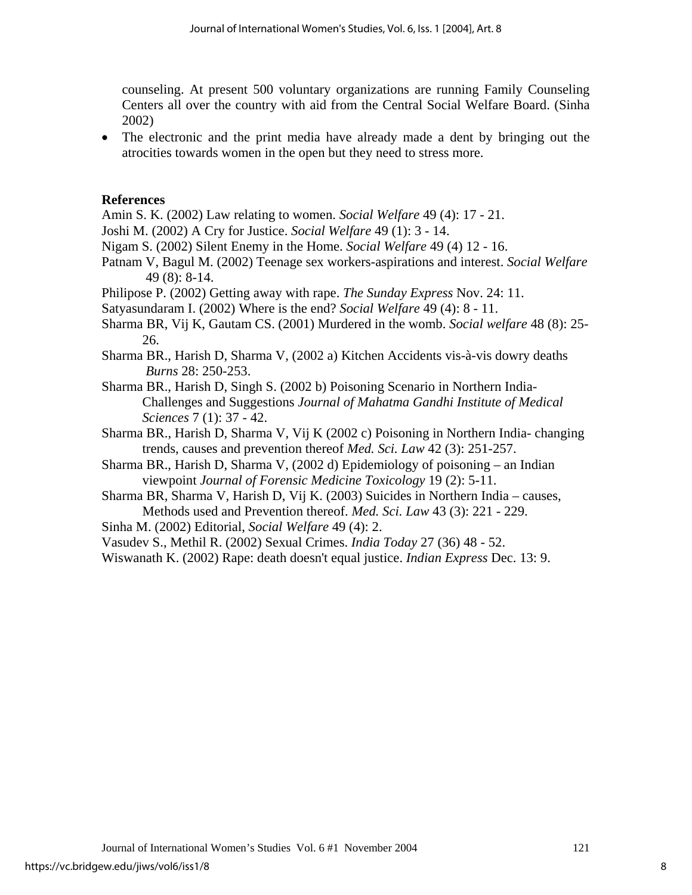counseling. At present 500 voluntary organizations are running Family Counseling Centers all over the country with aid from the Central Social Welfare Board. (Sinha 2002)

• The electronic and the print media have already made a dent by bringing out the atrocities towards women in the open but they need to stress more.

## **References**

Amin S. K. (2002) Law relating to women. *Social Welfare* 49 (4): 17 - 21.

Joshi M. (2002) A Cry for Justice. *Social Welfare* 49 (1): 3 - 14.

Nigam S. (2002) Silent Enemy in the Home. *Social Welfare* 49 (4) 12 - 16.

Patnam V, Bagul M. (2002) Teenage sex workers-aspirations and interest. *Social Welfare*  49 (8): 8-14.

Philipose P. (2002) Getting away with rape. *The Sunday Express* Nov. 24: 11.

Satyasundaram I. (2002) Where is the end? *Social Welfare* 49 (4): 8 - 11.

- Sharma BR, Vij K, Gautam CS. (2001) Murdered in the womb. *Social welfare* 48 (8): 25- 26.
- Sharma BR., Harish D, Sharma V, (2002 a) Kitchen Accidents vis-à-vis dowry deaths *Burns* 28: 250-253.

Sharma BR., Harish D, Singh S. (2002 b) Poisoning Scenario in Northern India-Challenges and Suggestions *Journal of Mahatma Gandhi Institute of Medical Sciences* 7 (1): 37 - 42.

Sharma BR., Harish D, Sharma V, Vij K (2002 c) Poisoning in Northern India- changing trends, causes and prevention thereof *Med. Sci. Law* 42 (3): 251-257.

Sharma BR., Harish D, Sharma V, (2002 d) Epidemiology of poisoning – an Indian viewpoint *Journal of Forensic Medicine Toxicology* 19 (2): 5-11.

Sharma BR, Sharma V, Harish D, Vij K. (2003) Suicides in Northern India – causes, Methods used and Prevention thereof. *Med. Sci. Law* 43 (3): 221 - 229.

Sinha M. (2002) Editorial, *Social Welfare* 49 (4): 2.

Vasudev S., Methil R. (2002) Sexual Crimes. *India Today* 27 (36) 48 - 52.

Wiswanath K. (2002) Rape: death doesn't equal justice. *Indian Express* Dec. 13: 9.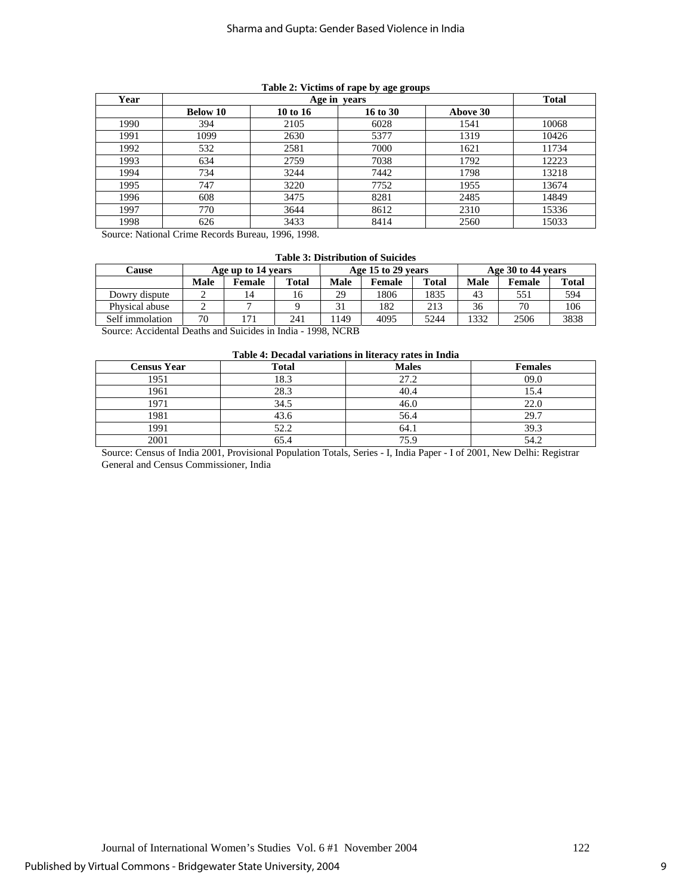| Year |                 | <b>Total</b> |          |          |       |
|------|-----------------|--------------|----------|----------|-------|
|      | <b>Below 10</b> | 10 to 16     | 16 to 30 | Above 30 |       |
| 1990 | 394             | 2105         | 6028     | 1541     | 10068 |
| 1991 | 1099            | 2630         | 5377     | 1319     | 10426 |
| 1992 | 532             | 2581         | 7000     | 1621     | 11734 |
| 1993 | 634             | 2759         | 7038     | 1792     | 12223 |
| 1994 | 734             | 3244         | 7442     | 1798     | 13218 |
| 1995 | 747             | 3220         | 7752     | 1955     | 13674 |
| 1996 | 608             | 3475         | 8281     | 2485     | 14849 |
| 1997 | 770             | 3644         | 8612     | 2310     | 15336 |
| 1998 | 626             | 3433         | 8414     | 2560     | 15033 |

#### **Table 2: Victims of rape by age groups**

Source: National Crime Records Bureau, 1996, 1998.

#### **Table 3: Distribution of Suicides**

| <b>Cause</b>    |      | Age up to 14 years |       |             | Age 15 to 29 years |              |      | Age 30 to 44 years |              |
|-----------------|------|--------------------|-------|-------------|--------------------|--------------|------|--------------------|--------------|
|                 | Male | <b>Female</b>      | Total | <b>Male</b> | Female             | <b>Total</b> | Male | Female             | <b>Total</b> |
| Dowry dispute   |      |                    | 16    | 29          | 1806               | 1835         | 43   | 551                | 594          |
| Physical abuse  |      |                    |       | 31          | 182                | 213          | 36   | 70                 | 106          |
| Self immolation | 70   |                    | 241   | 149         | 4095               | 5244         | 1332 | 2506               | 3838         |

Source: Accidental Deaths and Suicides in India - 1998, NCRB

| Table 4: Decadal variations in literacy rates in India |  |  |
|--------------------------------------------------------|--|--|
|--------------------------------------------------------|--|--|

|                    | Tuble is Decumin (unimolid in heer act ruced in manu |              |                |
|--------------------|------------------------------------------------------|--------------|----------------|
| <b>Census Year</b> | Total                                                | <b>Males</b> | <b>Females</b> |
| 1951               | 18.3                                                 | 27.2         | 09.0           |
| 1961               | 28.3                                                 | 40.4         | 15.4           |
| 1971               | 34.5                                                 | 46.0         | 22.0           |
| 1981               | 43.6                                                 | 56.4         | 29.7           |
| 1991               | 52.2                                                 | 64.1         | 39.3           |
| 2001               | 65.4                                                 | 75.9         | 54.2           |

Source: Census of India 2001, Provisional Population Totals, Series - I, India Paper - I of 2001, New Delhi: Registrar General and Census Commissioner, India